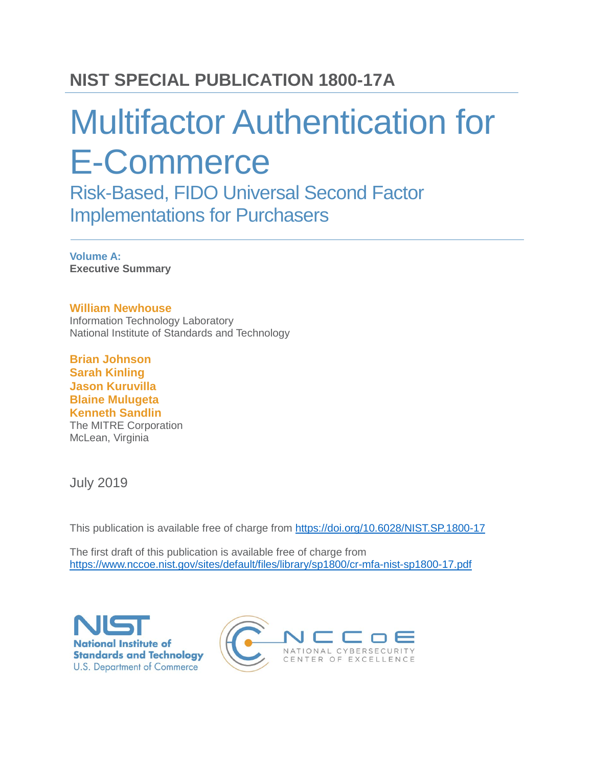# Multifactor Authentication for E-Commerce

Risk-Based, FIDO Universal Second Factor Implementations for Purchasers

**Volume A: Executive Summary**

#### **William Newhouse**

Information Technology Laboratory National Institute of Standards and Technology

**Brian Johnson Sarah Kinling Jason Kuruvilla Blaine Mulugeta Kenneth Sandlin** The MITRE Corporation McLean, Virginia

July 2019

This publication is available free of charge from <https://doi.org/10.6028/NIST.SP.1800-17>

The first draft of this publication is available free of charge from <https://www.nccoe.nist.gov/sites/default/files/library/sp1800/cr-mfa-nist-sp1800-17.pdf>



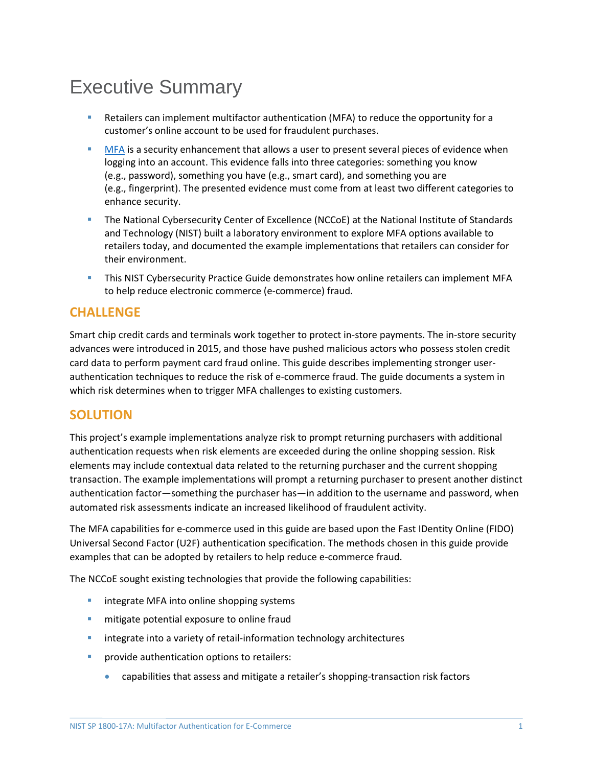## Executive Summary

- Retailers can implement multifactor authentication (MFA) to reduce the opportunity for a customer's online account to be used for fraudulent purchases.
- **[MFA](https://www.nist.gov/itl/tig/back-basics-multi-factor-authentication)** is a security enhancement that allows a user to present several pieces of evidence when logging into an account. This evidence falls into three categories: something you know (e.g., password), something you have (e.g., smart card), and something you are (e.g., fingerprint). The presented evidence must come from at least two different categories to enhance security.
- The National Cybersecurity Center of Excellence (NCCoE) at the National Institute of Standards and Technology (NIST) built a laboratory environment to explore MFA options available to retailers today, and documented the example implementations that retailers can consider for their environment.
- This NIST Cybersecurity Practice Guide demonstrates how online retailers can implement MFA to help reduce electronic commerce (e-commerce) fraud.

#### **CHALLENGE**

Smart chip credit cards and terminals work together to protect in-store payments. The in-store security advances were introduced in 2015, and those have pushed malicious actors who possess stolen credit card data to perform payment card fraud online. This guide describes implementing stronger userauthentication techniques to reduce the risk of e-commerce fraud. The guide documents a system in which risk determines when to trigger MFA challenges to existing customers.

#### **SOLUTION**

This project's example implementations analyze risk to prompt returning purchasers with additional authentication requests when risk elements are exceeded during the online shopping session. Risk elements may include contextual data related to the returning purchaser and the current shopping transaction. The example implementations will prompt a returning purchaser to present another distinct authentication factor—something the purchaser has—in addition to the username and password, when automated risk assessments indicate an increased likelihood of fraudulent activity.

The MFA capabilities for e-commerce used in this guide are based upon the Fast IDentity Online (FIDO) Universal Second Factor (U2F) authentication specification. The methods chosen in this guide provide examples that can be adopted by retailers to help reduce e-commerce fraud.

The NCCoE sought existing technologies that provide the following capabilities:

- **EXTERGHTME INTERS into online shopping systems**
- **numitigate potential exposure to online fraud**
- **EXEDER** into a variety of retail-information technology architectures
- provide authentication options to retailers:
	- capabilities that assess and mitigate a retailer's shopping-transaction risk factors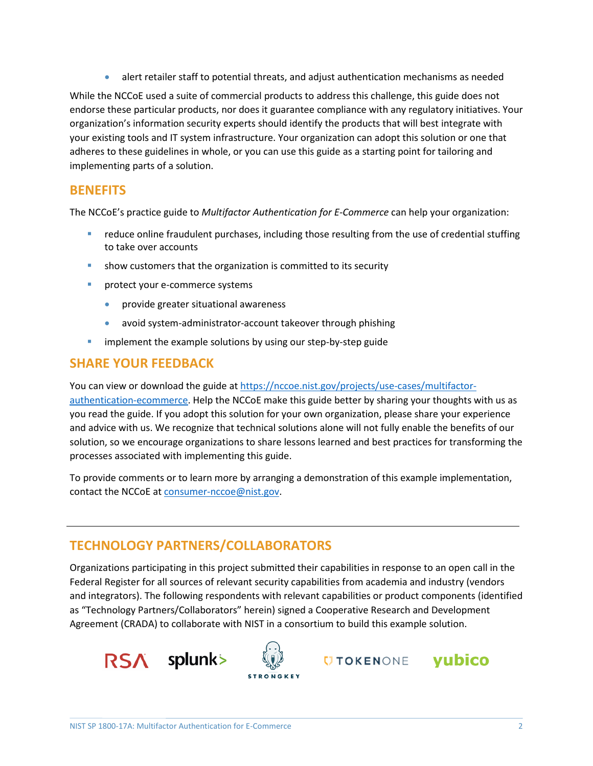• alert retailer staff to potential threats, and adjust authentication mechanisms as needed

While the NCCoE used a suite of commercial products to address this challenge, this guide does not endorse these particular products, nor does it guarantee compliance with any regulatory initiatives. Your organization's information security experts should identify the products that will best integrate with your existing tools and IT system infrastructure. Your organization can adopt this solution or one that adheres to these guidelines in whole, or you can use this guide as a starting point for tailoring and implementing parts of a solution.

#### **BENEFITS**

The NCCoE's practice guide to *Multifactor Authentication for E-Commerce* can help your organization:

- **•** reduce online fraudulent purchases, including those resulting from the use of credential stuffing to take over accounts
- show customers that the organization is committed to its security
- **Part of the COMMAC EXECUTE:** protect your e-commerce systems
	- provide greater situational awareness
	- avoid system-administrator-account takeover through phishing
- **F** implement the example solutions by using our step-by-step guide

#### **SHARE YOUR FEEDBACK**

You can view or download the guide at [https://nccoe.nist.gov/projects/use-cases/multifactor](https://nccoe.nist.gov/projects/use-cases/multifactor-authentication-ecommerce)[authentication-ecommerce.](https://nccoe.nist.gov/projects/use-cases/multifactor-authentication-ecommerce) Help the NCCoE make this guide better by sharing your thoughts with us as you read the guide. If you adopt this solution for your own organization, please share your experience and advice with us. We recognize that technical solutions alone will not fully enable the benefits of our solution, so we encourage organizations to share lessons learned and best practices for transforming the processes associated with implementing this guide.

To provide comments or to learn more by arranging a demonstration of this example implementation, contact the NCCoE a[t consumer-nccoe@nist.gov.](mailto:consumer-nccoe@nist.gov)

### **TECHNOLOGY PARTNERS/COLLABORATORS**

Organizations participating in this project submitted their capabilities in response to an open call in the Federal Register for all sources of relevant security capabilities from academia and industry (vendors and integrators). The following respondents with relevant capabilities or product components (identified as "Technology Partners/Collaborators" herein) signed a Cooperative Research and Development Agreement (CRADA) to collaborate with NIST in a consortium to build this example solution.